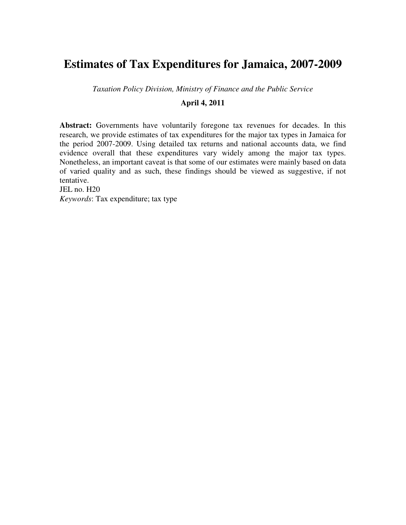# **Estimates of Tax Expenditures for Jamaica, 2007-2009**

*Taxation Policy Division, Ministry of Finance and the Public Service* 

# **April 4, 2011**

**Abstract:** Governments have voluntarily foregone tax revenues for decades. In this research, we provide estimates of tax expenditures for the major tax types in Jamaica for the period 2007-2009. Using detailed tax returns and national accounts data, we find evidence overall that these expenditures vary widely among the major tax types. Nonetheless, an important caveat is that some of our estimates were mainly based on data of varied quality and as such, these findings should be viewed as suggestive, if not tentative.

JEL no. H20

*Keywords*: Tax expenditure; tax type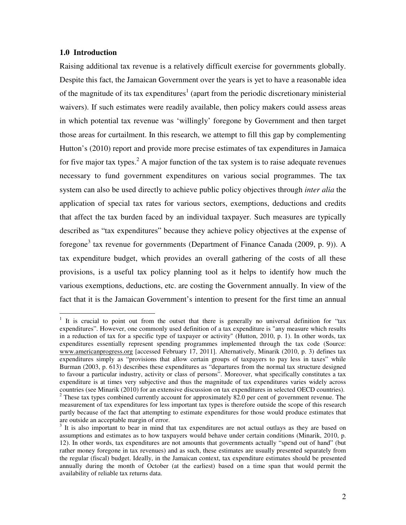# **1.0 Introduction**

Raising additional tax revenue is a relatively difficult exercise for governments globally. Despite this fact, the Jamaican Government over the years is yet to have a reasonable idea of the magnitude of its tax expenditures<sup>1</sup> (apart from the periodic discretionary ministerial waivers). If such estimates were readily available, then policy makers could assess areas in which potential tax revenue was 'willingly' foregone by Government and then target those areas for curtailment. In this research, we attempt to fill this gap by complementing Hutton's (2010) report and provide more precise estimates of tax expenditures in Jamaica for five major tax types.<sup>2</sup> A major function of the tax system is to raise adequate revenues necessary to fund government expenditures on various social programmes. The tax system can also be used directly to achieve public policy objectives through *inter alia* the application of special tax rates for various sectors, exemptions, deductions and credits that affect the tax burden faced by an individual taxpayer. Such measures are typically described as "tax expenditures" because they achieve policy objectives at the expense of foregone<sup>3</sup> tax revenue for governments (Department of Finance Canada (2009, p. 9)). A tax expenditure budget, which provides an overall gathering of the costs of all these provisions, is a useful tax policy planning tool as it helps to identify how much the various exemptions, deductions, etc. are costing the Government annually. In view of the fact that it is the Jamaican Government's intention to present for the first time an annual

<sup>&</sup>lt;sup>1</sup> It is crucial to point out from the outset that there is generally no universal definition for "tax expenditures". However, one commonly used definition of a tax expenditure is "any measure which results in a reduction of tax for a specific type of taxpayer or activity" (Hutton, 2010, p. 1). In other words, tax expenditures essentially represent spending programmes implemented through the tax code (Source: www.americanprogress.org [accessed February 17, 2011]. Alternatively, Minarik (2010, p. 3) defines tax expenditures simply as "provisions that allow certain groups of taxpayers to pay less in taxes" while Burman (2003, p. 613) describes these expenditures as "departures from the normal tax structure designed to favour a particular industry, activity or class of persons". Moreover, what specifically constitutes a tax expenditure is at times very subjective and thus the magnitude of tax expenditures varies widely across countries (see Minarik (2010) for an extensive discussion on tax expenditures in selected OECD countries).

 $2$  These tax types combined currently account for approximately 82.0 per cent of government revenue. The measurement of tax expenditures for less important tax types is therefore outside the scope of this research partly because of the fact that attempting to estimate expenditures for those would produce estimates that are outside an acceptable margin of error.

<sup>&</sup>lt;sup>3</sup> It is also important to bear in mind that tax expenditures are not actual outlays as they are based on assumptions and estimates as to how taxpayers would behave under certain conditions (Minarik, 2010, p. 12). In other words, tax expenditures are not amounts that governments actually "spend out of hand" (but rather money foregone in tax revenues) and as such, these estimates are usually presented separately from the regular (fiscal) budget. Ideally, in the Jamaican context, tax expenditure estimates should be presented annually during the month of October (at the earliest) based on a time span that would permit the availability of reliable tax returns data.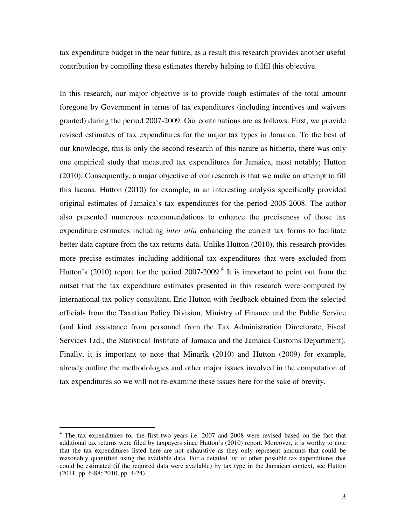tax expenditure budget in the near future, as a result this research provides another useful contribution by compiling these estimates thereby helping to fulfil this objective.

In this research, our major objective is to provide rough estimates of the total amount foregone by Government in terms of tax expenditures (including incentives and waivers granted) during the period 2007-2009. Our contributions are as follows: First, we provide revised estimates of tax expenditures for the major tax types in Jamaica. To the best of our knowledge, this is only the second research of this nature as hitherto, there was only one empirical study that measured tax expenditures for Jamaica, most notably; Hutton (2010). Consequently, a major objective of our research is that we make an attempt to fill this lacuna. Hutton (2010) for example, in an interesting analysis specifically provided original estimates of Jamaica's tax expenditures for the period 2005-2008. The author also presented numerous recommendations to enhance the preciseness of those tax expenditure estimates including *inter alia* enhancing the current tax forms to facilitate better data capture from the tax returns data. Unlike Hutton (2010), this research provides more precise estimates including additional tax expenditures that were excluded from Hutton's  $(2010)$  report for the period  $2007-2009$ .<sup>4</sup> It is important to point out from the outset that the tax expenditure estimates presented in this research were computed by international tax policy consultant, Eric Hutton with feedback obtained from the selected officials from the Taxation Policy Division, Ministry of Finance and the Public Service (and kind assistance from personnel from the Tax Administration Directorate, Fiscal Services Ltd., the Statistical Institute of Jamaica and the Jamaica Customs Department). Finally, it is important to note that Minarik (2010) and Hutton (2009) for example, already outline the methodologies and other major issues involved in the computation of tax expenditures so we will not re-examine these issues here for the sake of brevity.

 $\overline{a}$ 

<sup>&</sup>lt;sup>4</sup> The tax expenditures for the first two years i.e. 2007 and 2008 were revised based on the fact that additional tax returns were filed by taxpayers since Hutton's (2010) report. Moreover, it is worthy to note that the tax expenditures listed here are not exhaustive as they only represent amounts that could be reasonably quantified using the available data. For a detailed list of other possible tax expenditures that could be estimated (if the required data were available) by tax type in the Jamaican context, see Hutton (2011, pp. 6-88; 2010, pp. 4-24).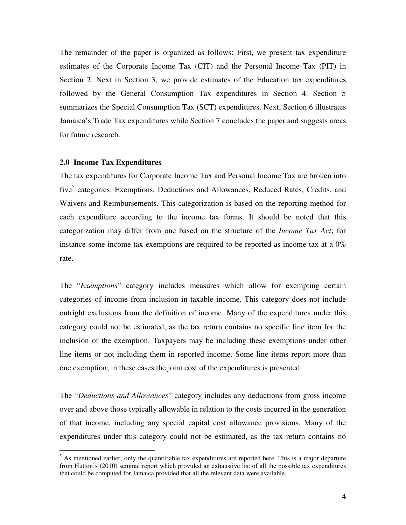The remainder of the paper is organized as follows: First, we present tax expenditure estimates of the Corporate Income Tax (CIT) and the Personal Income Tax (PIT) in Section 2. Next in Section 3, we provide estimates of the Education tax expenditures followed by the General Consumption Tax expenditures in Section 4. Section 5 summarizes the Special Consumption Tax (SCT) expenditures. Next, Section 6 illustrates Jamaica's Trade Tax expenditures while Section 7 concludes the paper and suggests areas for future research.

### **2.0 Income Tax Expenditures**

The tax expenditures for Corporate Income Tax and Personal Income Tax are broken into five<sup>5</sup> categories: Exemptions, Deductions and Allowances, Reduced Rates, Credits, and Waivers and Reimbursements. This categorization is based on the reporting method for each expenditure according to the income tax forms. It should be noted that this categorization may differ from one based on the structure of the *Income Tax Act*; for instance some income tax exemptions are required to be reported as income tax at a  $0\%$ rate.

The "*Exemptions*" category includes measures which allow for exempting certain categories of income from inclusion in taxable income. This category does not include outright exclusions from the definition of income. Many of the expenditures under this category could not be estimated, as the tax return contains no specific line item for the inclusion of the exemption. Taxpayers may be including these exemptions under other line items or not including them in reported income. Some line items report more than one exemption; in these cases the joint cost of the expenditures is presented.

The "*Deductions and Allowances*" category includes any deductions from gross income over and above those typically allowable in relation to the costs incurred in the generation of that income, including any special capital cost allowance provisions. Many of the expenditures under this category could not be estimated, as the tax return contains no

<sup>&</sup>lt;sup>5</sup> As mentioned earlier, only the quantifiable tax expenditures are reported here. This is a major departure from Hutton's (2010) seminal report which provided an exhaustive list of all the possible tax expenditures that could be computed for Jamaica provided that all the relevant data were available.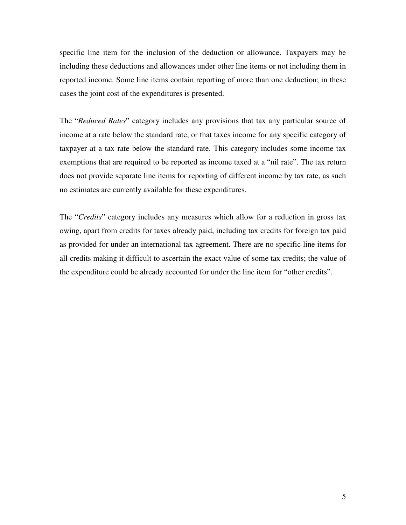specific line item for the inclusion of the deduction or allowance. Taxpayers may be including these deductions and allowances under other line items or not including them in reported income. Some line items contain reporting of more than one deduction; in these cases the joint cost of the expenditures is presented.

The "*Reduced Rates*" category includes any provisions that tax any particular source of income at a rate below the standard rate, or that taxes income for any specific category of taxpayer at a tax rate below the standard rate. This category includes some income tax exemptions that are required to be reported as income taxed at a "nil rate". The tax return does not provide separate line items for reporting of different income by tax rate, as such no estimates are currently available for these expenditures.

The "*Credits*" category includes any measures which allow for a reduction in gross tax owing, apart from credits for taxes already paid, including tax credits for foreign tax paid as provided for under an international tax agreement. There are no specific line items for all credits making it difficult to ascertain the exact value of some tax credits; the value of the expenditure could be already accounted for under the line item for "other credits".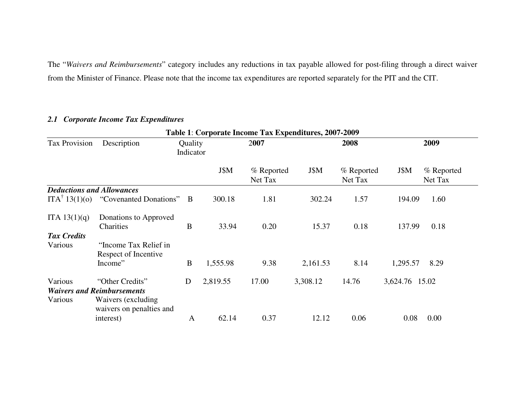The "*Waivers and Reimbursements*" category includes any reductions in tax payable allowed for post-filing through a direct waiver from the Minister of Finance. Please note that the income tax expenditures are reported separately for the PIT and the CIT.

# *2.1 Corporate Income Tax Expenditures*

|                                  |                                                          |                      |          | Table 1: Corporate Income Tax Expenditures, 2007-2009 |          |                       |                |                       |
|----------------------------------|----------------------------------------------------------|----------------------|----------|-------------------------------------------------------|----------|-----------------------|----------------|-----------------------|
| <b>Tax Provision</b>             | Description                                              | Quality<br>Indicator |          | 2007                                                  |          | 2008                  |                | 2009                  |
|                                  |                                                          |                      | J\$M     | % Reported<br>Net Tax                                 | J\$M     | % Reported<br>Net Tax | J\$M           | % Reported<br>Net Tax |
| <b>Deductions and Allowances</b> |                                                          |                      |          |                                                       |          |                       |                |                       |
|                                  | $ITA^{\dagger} 13(1)(o)$ "Covenanted Donations" B        |                      | 300.18   | 1.81                                                  | 302.24   | 1.57                  | 194.09         | 1.60                  |
| ITA 13(1)(q)                     | Donations to Approved<br>Charities                       | B                    | 33.94    | 0.20                                                  | 15.37    | 0.18                  | 137.99         | 0.18                  |
| <b>Tax Credits</b>               |                                                          |                      |          |                                                       |          |                       |                |                       |
| Various                          | "Income Tax Relief in<br>Respect of Incentive<br>Income" | B                    | 1,555.98 | 9.38                                                  | 2,161.53 | 8.14                  | 1,295.57       | 8.29                  |
|                                  |                                                          |                      |          |                                                       |          |                       |                |                       |
| Various                          | "Other Credits"                                          | D                    | 2,819.55 | 17.00                                                 | 3,308.12 | 14.76                 | 3,624.76 15.02 |                       |
|                                  | <b>Waivers and Reimbursements</b>                        |                      |          |                                                       |          |                       |                |                       |
| Various                          | Waivers (excluding)<br>waivers on penalties and          |                      |          |                                                       |          |                       |                |                       |
|                                  | interest)                                                | A                    | 62.14    | 0.37                                                  | 12.12    | 0.06                  | 0.08           | 0.00                  |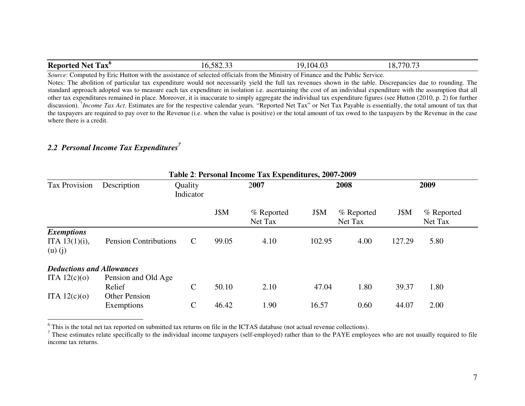| <b>Reported</b><br><b>TT</b><br>'Tax`<br>. Net | $\sim$ $\sim$<br>500<br>0.902.99 | 4.03<br>104<br>1Ο.<br>. | 770.7<br>10. |  |
|------------------------------------------------|----------------------------------|-------------------------|--------------|--|
|------------------------------------------------|----------------------------------|-------------------------|--------------|--|

*Source*: Computed by Eric Hutton with the assistance of selected officials from the Ministry of Finance and the Public Service. Notes: The abolition of particular tax expenditure would not necessarily yield the full tax revenues shown in the table. Discrepancies due to rounding. The standard approach adopted was to measure each tax expenditure in isolation i.e. ascertaining the cost of an individual expenditure with the assumption that all other tax expenditures remained in place. Moreover, it is inaccurate to simply aggregate the individual tax expenditure figures (see Hutton (2010, p. 2) for further discussion). †*Income Tax Act*. Estimates are for the respective calendar years. "Reported Net Tax" or Net Tax Payable is essentially, the total amount of tax that the taxpayers are required to pay over to the Revenue (i.e. when the value is positive) or the total amount of tax owed to the taxpayers by the Revenue in the case where there is a credit.

# *2.2 Personal Income Tax Expenditures<sup>7</sup>*

|                                                      |                                    |                      |       | Table 2: Personal Income Tax Expenditures, 2007-2009 |        |                       |        |                       |
|------------------------------------------------------|------------------------------------|----------------------|-------|------------------------------------------------------|--------|-----------------------|--------|-----------------------|
| <b>Tax Provision</b>                                 | Description                        | Quality<br>Indicator |       | 2007                                                 |        | 2008                  |        | 2009                  |
|                                                      |                                    |                      | J\$M  | % Reported<br>Net Tax                                | J\$M   | % Reported<br>Net Tax | J\$M   | % Reported<br>Net Tax |
| <b>Exemptions</b><br>ITA $13(1)(i)$ ,<br>$(u)$ $(j)$ | <b>Pension Contributions</b>       | $\mathcal{C}$        | 99.05 | 4.10                                                 | 102.95 | 4.00                  | 127.29 | 5.80                  |
| <b>Deductions and Allowances</b><br>ITA $12(c)(o)$   | Pension and Old Age<br>Relief      | $\mathsf{C}$         | 50.10 | 2.10                                                 | 47.04  | 1.80                  | 39.37  | 1.80                  |
| ITA $12(c)(o)$                                       | <b>Other Pension</b><br>Exemptions | $\mathsf{C}$         | 46.42 | 1.90                                                 | 16.57  | 0.60                  | 44.07  | 2.00                  |

<sup>6</sup> This is the total net tax reported on submitted tax returns on file in the ICTAS database (not actual revenue collections).

These estimates relate specifically to the individual income taxpayers (self-employed) rather than to the PAYE employees who are not usually required to file income tax returns.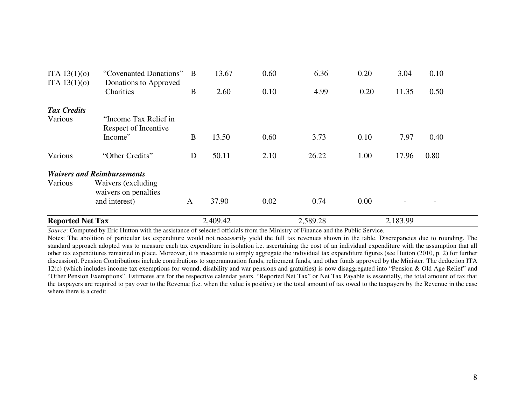| <b>Reported Net Tax</b>          |                                                                                                   |                     | 2,409.42      |              | 2,589.28     |              | 2,183.99      |              |
|----------------------------------|---------------------------------------------------------------------------------------------------|---------------------|---------------|--------------|--------------|--------------|---------------|--------------|
| Various                          | <b>Waivers and Reimbursements</b><br>Waivers (excluding)<br>waivers on penalties<br>and interest) | A                   | 37.90         | 0.02         | 0.74         | 0.00         |               |              |
| Various                          | "Other Credits"                                                                                   | D                   | 50.11         | 2.10         | 26.22        | 1.00         | 17.96         | 0.80         |
| <b>Tax Credits</b><br>Various    | "Income Tax Relief in<br>Respect of Incentive<br>Income"                                          | B                   | 13.50         | 0.60         | 3.73         | 0.10         | 7.97          | 0.40         |
| ITA $13(1)(0)$<br>ITA $13(1)(0)$ | "Covenanted Donations"<br>Donations to Approved<br>Charities                                      | $\overline{B}$<br>B | 13.67<br>2.60 | 0.60<br>0.10 | 6.36<br>4.99 | 0.20<br>0.20 | 3.04<br>11.35 | 0.10<br>0.50 |
|                                  |                                                                                                   |                     |               |              |              |              |               |              |

 Notes: The abolition of particular tax expenditure would not necessarily yield the full tax revenues shown in the table. Discrepancies due to rounding. The standard approach adopted was to measure each tax expenditure in isolation i.e. ascertaining the cost of an individual expenditure with the assumption that all other tax expenditures remained in place. Moreover, it is inaccurate to simply aggregate the individual tax expenditure figures (see Hutton (2010, p. 2) for further discussion). Pension Contributions include contributions to superannuation funds, retirement funds, and other funds approved by the Minister. The deduction ITA 12(c) (which includes income tax exemptions for wound, disability and war pensions and gratuities) is now disaggregated into "Pension & Old Age Relief" and "Other Pension Exemptions". Estimates are for the respective calendar years. "Reported Net Tax" or Net Tax Payable is essentially, the total amount of tax that the taxpayers are required to pay over to the Revenue (i.e. when the value is positive) or the total amount of tax owed to the taxpayers by the Revenue in the case where there is a credit.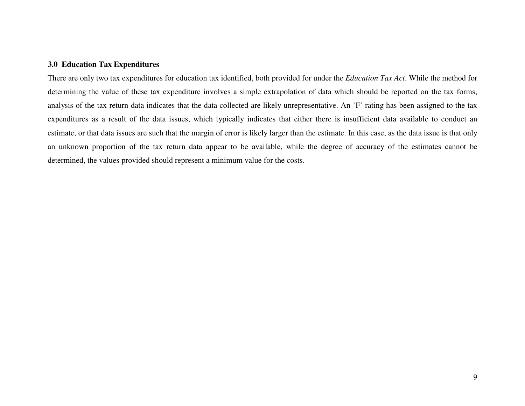### **3.0 Education Tax Expenditures**

There are only two tax expenditures for education tax identified, both provided for under the *Education Tax Act*. While the method for determining the value of these tax expenditure involves a simple extrapolation of data which should be reported on the tax forms, analysis of the tax return data indicates that the data collected are likely unrepresentative. An 'F' rating has been assigned to the tax expenditures as a result of the data issues, which typically indicates that either there is insufficient data available to conduct an estimate, or that data issues are such that the margin of error is likely larger than the estimate. In this case, as the data issue is that only an unknown proportion of the tax return data appear to be available, while the degree of accuracy of the estimates cannot be determined, the values provided should represent a minimum value for the costs.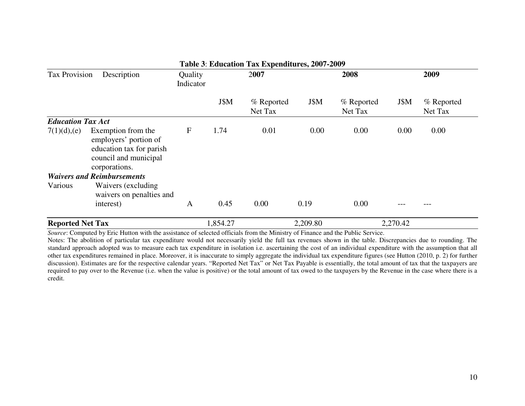|                          |                                                                                                                   |                      |          | Table 3: Education Tax Expenditures, 2007-2009 |          |                       |          |                       |
|--------------------------|-------------------------------------------------------------------------------------------------------------------|----------------------|----------|------------------------------------------------|----------|-----------------------|----------|-----------------------|
| <b>Tax Provision</b>     | Description                                                                                                       | Quality<br>Indicator |          | 2007                                           |          | 2008                  |          | 2009                  |
|                          |                                                                                                                   |                      | J\$M     | % Reported<br>Net Tax                          | J\$M     | % Reported<br>Net Tax | J\$M     | % Reported<br>Net Tax |
| <b>Education Tax Act</b> |                                                                                                                   |                      |          |                                                |          |                       |          |                       |
| 7(1)(d),(e)              | Exemption from the<br>employers' portion of<br>education tax for parish<br>council and municipal<br>corporations. | $\mathbf{F}$         | 1.74     | 0.01                                           | 0.00     | 0.00                  | 0.00     | 0.00                  |
|                          | <b>Waivers and Reimbursements</b>                                                                                 |                      |          |                                                |          |                       |          |                       |
| Various                  | Waivers (excluding)<br>waivers on penalties and<br>interest)                                                      | A                    | 0.45     | 0.00                                           | 0.19     | 0.00                  |          |                       |
| <b>Reported Net Tax</b>  |                                                                                                                   |                      | 1,854.27 |                                                | 2,209.80 |                       | 2,270.42 |                       |

 Notes: The abolition of particular tax expenditure would not necessarily yield the full tax revenues shown in the table. Discrepancies due to rounding. The standard approach adopted was to measure each tax expenditure in isolation i.e. ascertaining the cost of an individual expenditure with the assumption that all other tax expenditures remained in place. Moreover, it is inaccurate to simply aggregate the individual tax expenditure figures (see Hutton (2010, p. 2) for further discussion). Estimates are for the respective calendar years. "Reported Net Tax" or Net Tax Payable is essentially, the total amount of tax that the taxpayers are required to pay over to the Revenue (i.e. when the value is positive) or the total amount of tax owed to the taxpayers by the Revenue in the case where there is a credit.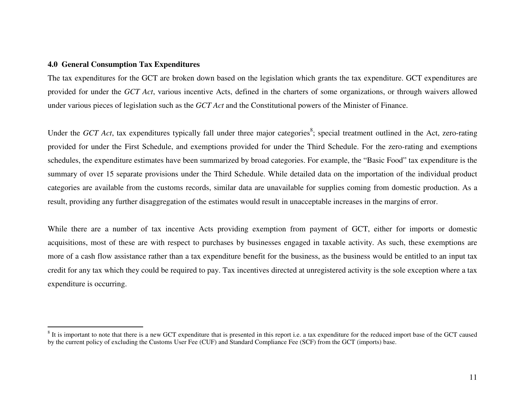### **4.0 General Consumption Tax Expenditures**

The tax expenditures for the GCT are broken down based on the legislation which grants the tax expenditure. GCT expenditures are provided for under the *GCT Act*, various incentive Acts, defined in the charters of some organizations, or through waivers allowed under various pieces of legislation such as the *GCT Act* and the Constitutional powers of the Minister of Finance.

Under the *GCT Act*, tax expenditures typically fall under three major categories<sup>8</sup>; special treatment outlined in the Act, zero-rating provided for under the First Schedule, and exemptions provided for under the Third Schedule. For the zero-rating and exemptions schedules, the expenditure estimates have been summarized by broad categories. For example, the "Basic Food" tax expenditure is the summary of over 15 separate provisions under the Third Schedule. While detailed data on the importation of the individual product categories are available from the customs records, similar data are unavailable for supplies coming from domestic production. As a result, providing any further disaggregation of the estimates would result in unacceptable increases in the margins of error.

While there are a number of tax incentive Acts providing exemption from payment of GCT, either for imports or domestic acquisitions, most of these are with respect to purchases by businesses engaged in taxable activity. As such, these exemptions are more of a cash flow assistance rather than a tax expenditure benefit for the business, as the business would be entitled to an input tax credit for any tax which they could be required to pay. Tax incentives directed at unregistered activity is the sole exception where a tax expenditure is occurring.

<sup>&</sup>lt;sup>8</sup> It is important to note that there is a new GCT expenditure that is presented in this report i.e. a tax expenditure for the reduced import base of the GCT caused by the current policy of excluding the Customs User Fee (CUF) and Standard Compliance Fee (SCF) from the GCT (imports) base.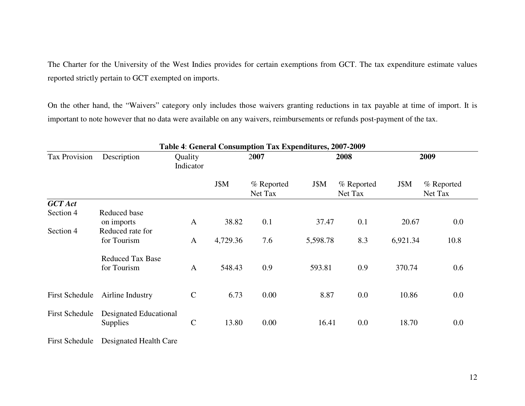The Charter for the University of the West Indies provides for certain exemptions from GCT. The tax expenditure estimate values reported strictly pertain to GCT exempted on imports.

On the other hand, the "Waivers" category only includes those waivers granting reductions in tax payable at time of import. It is important to note however that no data were available on any waivers, reimbursements or refunds post-payment of the tax.

|                       |                                        |                      |          | Table 4: General Consumption Tax Expenditures, 2007-2009 |          |                       |          |                       |
|-----------------------|----------------------------------------|----------------------|----------|----------------------------------------------------------|----------|-----------------------|----------|-----------------------|
| Tax Provision         | Description                            | Quality<br>Indicator |          | 2007                                                     |          | 2008                  |          | 2009                  |
|                       |                                        |                      | J\$M     | % Reported<br>Net Tax                                    | J\$M     | % Reported<br>Net Tax | J\$M     | % Reported<br>Net Tax |
| <b>GCT</b> Act        |                                        |                      |          |                                                          |          |                       |          |                       |
| Section 4             | Reduced base<br>on imports             | $\mathbf{A}$         | 38.82    | 0.1                                                      | 37.47    | 0.1                   | 20.67    | 0.0                   |
| Section 4             | Reduced rate for                       |                      |          |                                                          |          |                       |          |                       |
|                       | for Tourism                            | $\mathbf{A}$         | 4,729.36 | 7.6                                                      | 5,598.78 | 8.3                   | 6,921.34 | 10.8                  |
|                       | <b>Reduced Tax Base</b><br>for Tourism | $\mathbf{A}$         | 548.43   | 0.9                                                      | 593.81   | 0.9                   | 370.74   | 0.6                   |
| <b>First Schedule</b> | Airline Industry                       | $\mathbf C$          | 6.73     | 0.00                                                     | 8.87     | 0.0                   | 10.86    | $0.0\,$               |
| <b>First Schedule</b> | Designated Educational<br>Supplies     | $\mathbf C$          | 13.80    | 0.00                                                     | 16.41    | 0.0                   | 18.70    | $0.0\,$               |

First Schedule Designated Health Care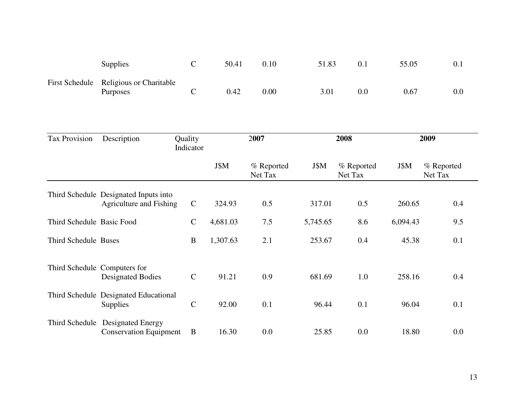| <b>Supplies</b>                                           | 50.41 | 0.10 | 51.83 | 0.1 | 55.05 | 0.1 |
|-----------------------------------------------------------|-------|------|-------|-----|-------|-----|
| First Schedule Religious or Charitable<br><b>Purposes</b> | 0.42  | 0.00 | 3.01  | 0.0 | 0.67  | 0.0 |

| Tax Provision             | Description                                                       | Quality<br>Indicator |          | 2007                  |          | 2008                  |          | 2009                  |
|---------------------------|-------------------------------------------------------------------|----------------------|----------|-----------------------|----------|-----------------------|----------|-----------------------|
|                           |                                                                   |                      | J\$M     | % Reported<br>Net Tax | J\$M     | % Reported<br>Net Tax | J\$M     | % Reported<br>Net Tax |
|                           | Third Schedule Designated Inputs into<br>Agriculture and Fishing  | $\mathbf C$          | 324.93   | 0.5                   | 317.01   | 0.5                   | 260.65   | 0.4                   |
| Third Schedule Basic Food |                                                                   | $\mathbf C$          | 4,681.03 | 7.5                   | 5,745.65 | 8.6                   | 6,094.43 | 9.5                   |
| Third Schedule Buses      |                                                                   | B                    | 1,307.63 | 2.1                   | 253.67   | 0.4                   | 45.38    | 0.1                   |
|                           | Third Schedule Computers for<br><b>Designated Bodies</b>          | $\mathbf C$          | 91.21    | 0.9                   | 681.69   | 1.0                   | 258.16   | 0.4                   |
|                           | Third Schedule Designated Educational<br><b>Supplies</b>          | $\mathbf C$          | 92.00    | 0.1                   | 96.44    | 0.1                   | 96.04    | 0.1                   |
|                           | Third Schedule Designated Energy<br><b>Conservation Equipment</b> | B                    | 16.30    | 0.0                   | 25.85    | 0.0                   | 18.80    | 0.0                   |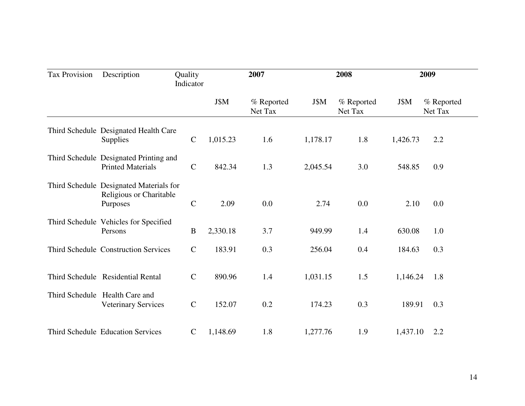| Tax Provision | Description                                                                    | Quality<br>Indicator |          | 2007                  |          | 2008                  |          | 2009                  |
|---------------|--------------------------------------------------------------------------------|----------------------|----------|-----------------------|----------|-----------------------|----------|-----------------------|
|               |                                                                                |                      | J\$M     | % Reported<br>Net Tax | J\$M     | % Reported<br>Net Tax | J\$M     | % Reported<br>Net Tax |
|               | Third Schedule Designated Health Care<br><b>Supplies</b>                       | $\mathsf{C}$         | 1,015.23 | 1.6                   | 1,178.17 | 1.8                   | 1,426.73 | 2.2                   |
|               | Third Schedule Designated Printing and<br><b>Printed Materials</b>             | $\mathbf C$          | 842.34   | 1.3                   | 2,045.54 | 3.0                   | 548.85   | 0.9                   |
|               | Third Schedule Designated Materials for<br>Religious or Charitable<br>Purposes | $\mathsf{C}$         | 2.09     | 0.0                   | 2.74     | 0.0                   | 2.10     | 0.0                   |
|               | Third Schedule Vehicles for Specified<br>Persons                               | $\, {\bf B}$         | 2,330.18 | 3.7                   | 949.99   | 1.4                   | 630.08   | 1.0                   |
|               | <b>Third Schedule Construction Services</b>                                    | $\mathbf C$          | 183.91   | 0.3                   | 256.04   | 0.4                   | 184.63   | 0.3                   |
|               | Third Schedule Residential Rental                                              | $\mathbf C$          | 890.96   | 1.4                   | 1,031.15 | 1.5                   | 1,146.24 | 1.8                   |
|               | Third Schedule Health Care and<br><b>Veterinary Services</b>                   | $\mathbf C$          | 152.07   | 0.2                   | 174.23   | 0.3                   | 189.91   | 0.3                   |
|               | <b>Third Schedule Education Services</b>                                       | $\mathsf{C}$         | 1,148.69 | 1.8                   | 1,277.76 | 1.9                   | 1,437.10 | 2.2                   |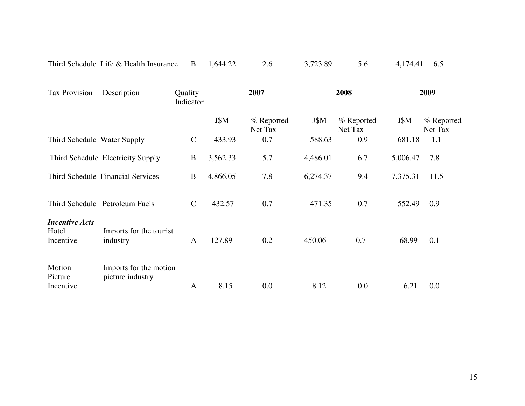| Third Schedule Life $\&$ Health Insurance B $1,644.22$ 2.6 |  | 3,723.89 5.6 4,174.41 6.5 |  |  |
|------------------------------------------------------------|--|---------------------------|--|--|
|                                                            |  |                           |  |  |

| <b>Tax Provision</b>                        | Description                                | Quality<br>Indicator |          | 2007                  |          | 2008                  |          | 2009                  |
|---------------------------------------------|--------------------------------------------|----------------------|----------|-----------------------|----------|-----------------------|----------|-----------------------|
|                                             |                                            |                      | J\$M     | % Reported<br>Net Tax | J\$M     | % Reported<br>Net Tax | J\$M     | % Reported<br>Net Tax |
| Third Schedule Water Supply                 |                                            | $\mathbf C$          | 433.93   | 0.7                   | 588.63   | 0.9                   | 681.18   | 1.1                   |
|                                             | Third Schedule Electricity Supply          | B                    | 3,562.33 | 5.7                   | 4,486.01 | 6.7                   | 5,006.47 | 7.8                   |
|                                             | Third Schedule Financial Services          | $\bf{B}$             | 4,866.05 | 7.8                   | 6,274.37 | 9.4                   | 7,375.31 | 11.5                  |
|                                             | Third Schedule Petroleum Fuels             | $\mathbf C$          | 432.57   | 0.7                   | 471.35   | 0.7                   | 552.49   | 0.9                   |
| <b>Incentive Acts</b><br>Hotel<br>Incentive | Imports for the tourist<br>industry        | $\mathbf{A}$         | 127.89   | 0.2                   | 450.06   | 0.7                   | 68.99    | 0.1                   |
| Motion<br>Picture<br>Incentive              | Imports for the motion<br>picture industry | $\mathbf{A}$         | 8.15     | 0.0                   | 8.12     | 0.0                   | 6.21     | 0.0                   |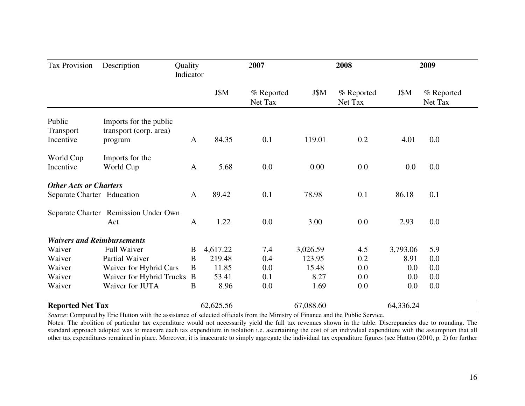| <b>Tax Provision</b>              | Description                          | Quality<br>Indicator |           | 2007                  |           | 2008                  |           | 2009                  |  |
|-----------------------------------|--------------------------------------|----------------------|-----------|-----------------------|-----------|-----------------------|-----------|-----------------------|--|
|                                   |                                      |                      | J\$M      | % Reported<br>Net Tax | J\$M      | % Reported<br>Net Tax | J\$M      | % Reported<br>Net Tax |  |
| Public                            | Imports for the public               |                      |           |                       |           |                       |           |                       |  |
| Transport<br>Incentive            | transport (corp. area)<br>program    | $\mathbf{A}$         | 84.35     | 0.1                   | 119.01    | 0.2                   | 4.01      | 0.0                   |  |
| World Cup                         | Imports for the                      |                      |           |                       |           |                       |           |                       |  |
| Incentive                         | World Cup                            | $\mathbf{A}$         | 5.68      | 0.0                   | 0.00      | 0.0                   | 0.0       | 0.0                   |  |
| <b>Other Acts or Charters</b>     |                                      |                      |           |                       |           |                       |           |                       |  |
| Separate Charter Education        |                                      | $\mathbf{A}$         | 89.42     | 0.1                   | 78.98     | 0.1                   | 86.18     | 0.1                   |  |
|                                   | Separate Charter Remission Under Own |                      |           |                       |           |                       |           |                       |  |
|                                   | Act                                  | $\mathbf{A}$         | 1.22      | 0.0                   | 3.00      | 0.0                   | 2.93      | $0.0\,$               |  |
| <b>Waivers and Reimbursements</b> |                                      |                      |           |                       |           |                       |           |                       |  |
| Waiver                            | <b>Full Waiver</b>                   | B                    | 4,617.22  | 7.4                   | 3,026.59  | 4.5                   | 3,793.06  | 5.9                   |  |
| Waiver                            | Partial Waiver                       | B                    | 219.48    | 0.4                   | 123.95    | 0.2                   | 8.91      | 0.0                   |  |
| Waiver                            | Waiver for Hybrid Cars               | B                    | 11.85     | 0.0                   | 15.48     | 0.0                   | 0.0       | 0.0                   |  |
| Waiver                            | Waiver for Hybrid Trucks             | B                    | 53.41     | 0.1                   | 8.27      | 0.0                   | 0.0       | 0.0                   |  |
| Waiver                            | Waiver for JUTA                      | B                    | 8.96      | 0.0                   | 1.69      | 0.0                   | 0.0       | $0.0\,$               |  |
| <b>Reported Net Tax</b>           |                                      |                      | 62,625.56 |                       | 67,088.60 |                       | 64,336.24 |                       |  |

 Notes: The abolition of particular tax expenditure would not necessarily yield the full tax revenues shown in the table. Discrepancies due to rounding. The standard approach adopted was to measure each tax expenditure in isolation i.e. ascertaining the cost of an individual expenditure with the assumption that all other tax expenditures remained in place. Moreover, it is inaccurate to simply aggregate the individual tax expenditure figures (see Hutton (2010, p. 2) for further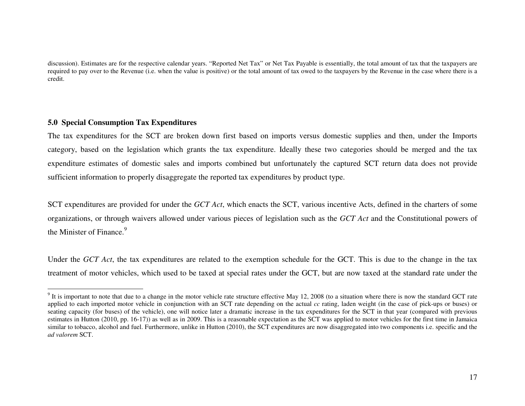discussion). Estimates are for the respective calendar years. "Reported Net Tax" or Net Tax Payable is essentially, the total amount of tax that the taxpayers are required to pay over to the Revenue (i.e. when the value is positive) or the total amount of tax owed to the taxpayers by the Revenue in the case where there is a credit.

### **5.0 Special Consumption Tax Expenditures**

The tax expenditures for the SCT are broken down first based on imports versus domestic supplies and then, under the Imports category, based on the legislation which grants the tax expenditure. Ideally these two categories should be merged and the tax expenditure estimates of domestic sales and imports combined but unfortunately the captured SCT return data does not provide sufficient information to properly disaggregate the reported tax expenditures by product type.

SCT expenditures are provided for under the *GCT Act*, which enacts the SCT, various incentive Acts, defined in the charters of some organizations, or through waivers allowed under various pieces of legislation such as the *GCT Act* and the Constitutional powers of the Minister of Finance.<sup>9</sup>

Under the *GCT Act*, the tax expenditures are related to the exemption schedule for the GCT. This is due to the change in the tax treatment of motor vehicles, which used to be taxed at special rates under the GCT, but are now taxed at the standard rate under the

 $9$  It is important to note that due to a change in the motor vehicle rate structure effective May 12, 2008 (to a situation where there is now the standard GCT rate applied to each imported motor vehicle in conjunction with an SCT rate depending on the actual *cc* rating, laden weight (in the case of pick-ups or buses) or seating capacity (for buses) of the vehicle), one will notice later a dramatic increase in the tax expenditures for the SCT in that year (compared with previous estimates in Hutton (2010, pp. 16-17)) as well as in 2009. This is a reasonable expectation as the SCT was applied to motor vehicles for the first time in Jamaica similar to tobacco, alcohol and fuel. Furthermore, unlike in Hutton (2010), the SCT expenditures are now disaggregated into two components i.e. specific and the *ad valorem* SCT.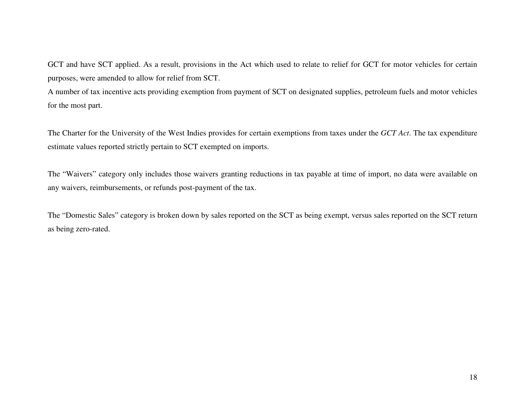GCT and have SCT applied. As a result, provisions in the Act which used to relate to relief for GCT for motor vehicles for certain purposes, were amended to allow for relief from SCT.

A number of tax incentive acts providing exemption from payment of SCT on designated supplies, petroleum fuels and motor vehicles for the most part.

The Charter for the University of the West Indies provides for certain exemptions from taxes under the *GCT Act*. The tax expenditure estimate values reported strictly pertain to SCT exempted on imports.

The "Waivers" category only includes those waivers granting reductions in tax payable at time of import, no data were available on any waivers, reimbursements, or refunds post-payment of the tax.

The "Domestic Sales" category is broken down by sales reported on the SCT as being exempt, versus sales reported on the SCT return as being zero-rated.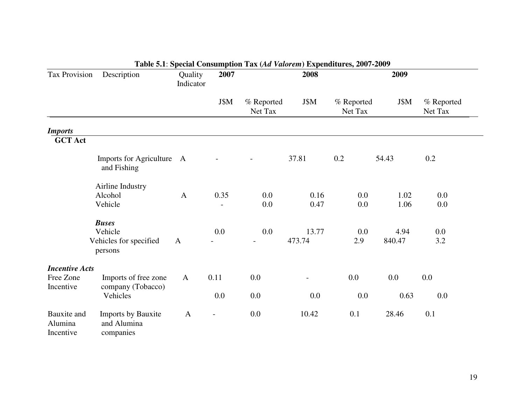| Tax Provision                              | Description                                    | Quality<br>Indicator | 2007    |                       | 2008                     | 2009                  |              |                       |  |
|--------------------------------------------|------------------------------------------------|----------------------|---------|-----------------------|--------------------------|-----------------------|--------------|-----------------------|--|
|                                            |                                                |                      | J\$M    | % Reported<br>Net Tax | J\$M                     | % Reported<br>Net Tax | J\$M         | % Reported<br>Net Tax |  |
| <b>Imports</b>                             |                                                |                      |         |                       |                          |                       |              |                       |  |
| <b>GCT Act</b>                             |                                                |                      |         |                       |                          |                       |              |                       |  |
|                                            | Imports for Agriculture A<br>and Fishing       |                      |         |                       | 37.81                    | 0.2                   | 54.43        | 0.2                   |  |
|                                            | Airline Industry                               |                      |         |                       |                          |                       |              |                       |  |
|                                            | Alcohol<br>Vehicle                             | $\mathbf{A}$         | 0.35    | 0.0<br>0.0            | 0.16<br>0.47             | 0.0<br>0.0            | 1.02<br>1.06 | $0.0\,$<br>0.0        |  |
|                                            |                                                |                      |         |                       |                          |                       |              |                       |  |
|                                            | <b>Buses</b><br>Vehicle                        |                      | $0.0\,$ | 0.0                   | 13.77                    | 0.0                   | 4.94         | 0.0                   |  |
|                                            | Vehicles for specified<br>persons              | $\mathbf{A}$         |         |                       | 473.74                   | 2.9                   | 840.47       | 3.2                   |  |
| <b>Incentive Acts</b>                      |                                                |                      |         |                       |                          |                       |              |                       |  |
| Free Zone<br>Incentive                     | Imports of free zone<br>company (Tobacco)      | $\mathbf{A}$         | 0.11    | 0.0                   | $\overline{\phantom{a}}$ | 0.0                   | $0.0\,$      | 0.0                   |  |
|                                            | Vehicles                                       |                      | $0.0\,$ | 0.0                   | 0.0                      | 0.0                   | 0.63         | 0.0                   |  |
| <b>Bauxite</b> and<br>Alumina<br>Incentive | Imports by Bauxite<br>and Alumina<br>companies | $\mathbf{A}$         |         | 0.0                   | 10.42                    | 0.1                   | 28.46        | 0.1                   |  |

### **Table 5.1**: **Special Consumption Tax (***Ad Valorem***) Expenditures, 2007-2009**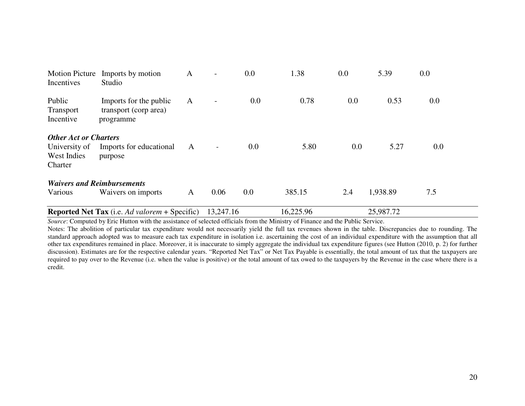| <b>Motion Picture</b><br>Incentives                                     | Imports by motion<br>Studio                                  | A | $\overline{\phantom{0}}$ | 0.0     | 1.38      | 0.0 | 5.39      | 0.0     |
|-------------------------------------------------------------------------|--------------------------------------------------------------|---|--------------------------|---------|-----------|-----|-----------|---------|
| Public<br><b>Transport</b><br>Incentive                                 | Imports for the public<br>transport (corp area)<br>programme | A | $\overline{\phantom{0}}$ | $0.0\,$ | 0.78      | 0.0 | 0.53      | $0.0\,$ |
| <b>Other Act or Charters</b><br>University of<br>West Indies<br>Charter | Imports for educational<br>purpose                           | A | $\overline{\phantom{a}}$ | 0.0     | 5.80      | 0.0 | 5.27      | 0.0     |
| <b>Waivers and Reimbursements</b>                                       |                                                              |   |                          |         |           |     |           |         |
| Various                                                                 | Waivers on imports                                           | A | 0.06                     | 0.0     | 385.15    | 2.4 | 1,938.89  | 7.5     |
|                                                                         | <b>Reported Net Tax</b> (i.e. Ad valorem + Specific)         |   | 13,247.16                |         | 16,225.96 |     | 25,987.72 |         |

 Notes: The abolition of particular tax expenditure would not necessarily yield the full tax revenues shown in the table. Discrepancies due to rounding. The standard approach adopted was to measure each tax expenditure in isolation i.e. ascertaining the cost of an individual expenditure with the assumption that all other tax expenditures remained in place. Moreover, it is inaccurate to simply aggregate the individual tax expenditure figures (see Hutton (2010, p. 2) for further discussion). Estimates are for the respective calendar years. "Reported Net Tax" or Net Tax Payable is essentially, the total amount of tax that the taxpayers are required to pay over to the Revenue (i.e. when the value is positive) or the total amount of tax owed to the taxpayers by the Revenue in the case where there is a credit.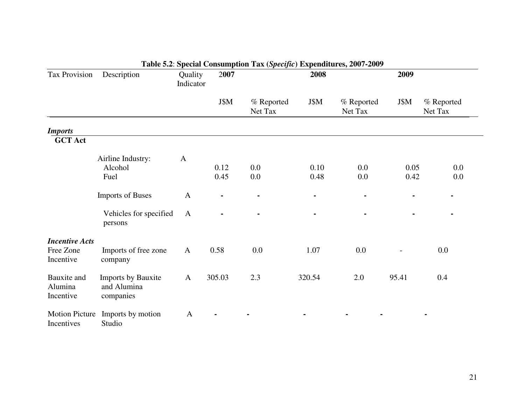| Tax Provision                                   | Description                                           | Quality<br>Indicator | 2007         |                       | 2008         | 2009                  |              |                       |
|-------------------------------------------------|-------------------------------------------------------|----------------------|--------------|-----------------------|--------------|-----------------------|--------------|-----------------------|
|                                                 |                                                       |                      | J\$M         | % Reported<br>Net Tax | J\$M         | % Reported<br>Net Tax | J\$M         | % Reported<br>Net Tax |
| <b>Imports</b>                                  |                                                       |                      |              |                       |              |                       |              |                       |
| <b>GCT Act</b>                                  |                                                       |                      |              |                       |              |                       |              |                       |
|                                                 | Airline Industry:<br>Alcohol<br>Fuel                  | $\mathbf{A}$         | 0.12<br>0.45 | 0.0<br>0.0            | 0.10<br>0.48 | $0.0\,$<br>0.0        | 0.05<br>0.42 | 0.0<br>0.0            |
|                                                 | <b>Imports of Buses</b>                               | $\mathbf{A}$         |              |                       |              |                       |              |                       |
|                                                 | Vehicles for specified<br>persons                     | $\mathbf{A}$         |              |                       |              |                       |              |                       |
| <b>Incentive Acts</b><br>Free Zone<br>Incentive | Imports of free zone<br>company                       | $\mathbf{A}$         | 0.58         | 0.0                   | 1.07         | 0.0                   |              | 0.0                   |
| Bauxite and<br>Alumina<br>Incentive             | <b>Imports by Bauxite</b><br>and Alumina<br>companies | $\mathbf{A}$         | 305.03       | 2.3                   | 320.54       | 2.0                   | 95.41        | 0.4                   |
| <b>Motion Picture</b><br>Incentives             | Imports by motion<br>Studio                           | $\mathbf{A}$         |              |                       |              |                       |              |                       |

# **Table 5.2**: **Special Consumption Tax (***Specific***) Expenditures, 2007-2009**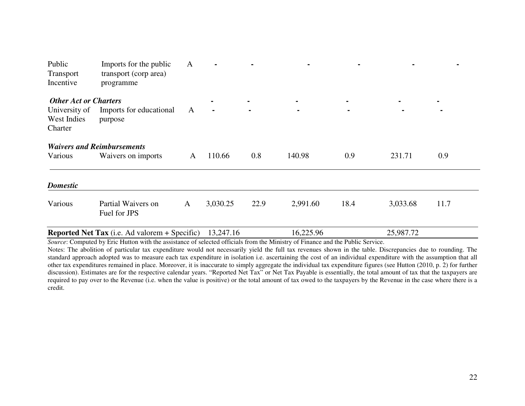| Public<br>Transport<br>Incentive                                        | Imports for the public<br>transport (corp area)<br>programme | A            |                |      |                |      |                |                |
|-------------------------------------------------------------------------|--------------------------------------------------------------|--------------|----------------|------|----------------|------|----------------|----------------|
| <b>Other Act or Charters</b><br>University of<br>West Indies<br>Charter | Imports for educational<br>purpose                           | A            | $\blacksquare$ |      | $\blacksquare$ |      | $\blacksquare$ | $\blacksquare$ |
| Various                                                                 | <b>Waivers and Reimbursements</b><br>Waivers on imports      | $\mathbf{A}$ | 110.66         | 0.8  | 140.98         | 0.9  | 231.71         | 0.9            |
| <b>Domestic</b>                                                         |                                                              |              |                |      |                |      |                |                |
| Various                                                                 | Partial Waivers on<br>Fuel for JPS                           | $\mathbf{A}$ | 3,030.25       | 22.9 | 2,991.60       | 18.4 | 3,033.68       | 11.7           |
|                                                                         | <b>Reported Net Tax</b> (i.e. Ad valorem + Specific)         |              | 13,247.16      |      | 16,225.96      |      | 25,987.72      |                |

 Notes: The abolition of particular tax expenditure would not necessarily yield the full tax revenues shown in the table. Discrepancies due to rounding. The standard approach adopted was to measure each tax expenditure in isolation i.e. ascertaining the cost of an individual expenditure with the assumption that all other tax expenditures remained in place. Moreover, it is inaccurate to simply aggregate the individual tax expenditure figures (see Hutton (2010, p. 2) for further discussion). Estimates are for the respective calendar years. "Reported Net Tax" or Net Tax Payable is essentially, the total amount of tax that the taxpayers are required to pay over to the Revenue (i.e. when the value is positive) or the total amount of tax owed to the taxpayers by the Revenue in the case where there is a credit.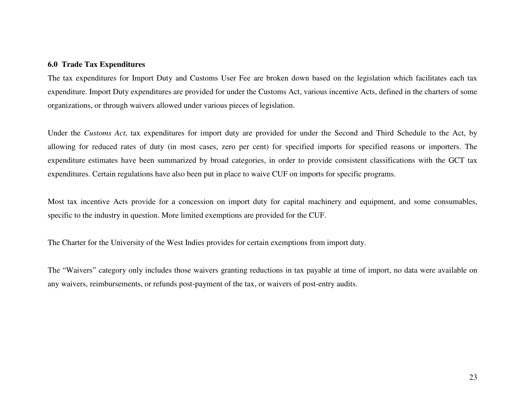### **6.0 Trade Tax Expenditures**

The tax expenditures for Import Duty and Customs User Fee are broken down based on the legislation which facilitates each tax expenditure. Import Duty expenditures are provided for under the Customs Act, various incentive Acts, defined in the charters of some organizations, or through waivers allowed under various pieces of legislation.

Under the *Customs Act*, tax expenditures for import duty are provided for under the Second and Third Schedule to the Act, byallowing for reduced rates of duty (in most cases, zero per cent) for specified imports for specified reasons or importers. The expenditure estimates have been summarized by broad categories, in order to provide consistent classifications with the GCT tax expenditures. Certain regulations have also been put in place to waive CUF on imports for specific programs.

Most tax incentive Acts provide for a concession on import duty for capital machinery and equipment, and some consumables, specific to the industry in question. More limited exemptions are provided for the CUF.

The Charter for the University of the West Indies provides for certain exemptions from import duty.

The "Waivers" category only includes those waivers granting reductions in tax payable at time of import, no data were available on any waivers, reimbursements, or refunds post-payment of the tax, or waivers of post-entry audits.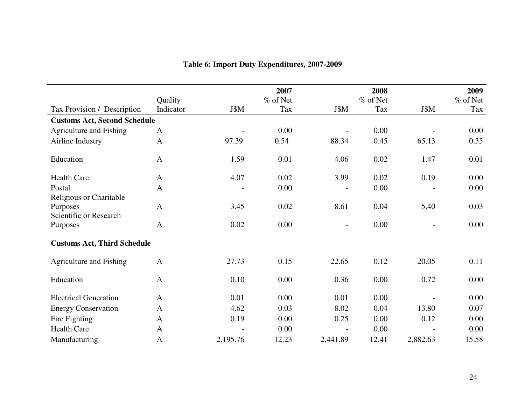|                                     |              |          | 2007       |                          | 2008     |          | 2009       |
|-------------------------------------|--------------|----------|------------|--------------------------|----------|----------|------------|
|                                     | Quality      |          | $%$ of Net |                          | % of Net |          | $%$ of Net |
| Tax Provision / Description         | Indicator    | J\$M     | Tax        | J\$M                     | Tax      | J\$M     | Tax        |
| <b>Customs Act, Second Schedule</b> |              |          |            |                          |          |          |            |
| Agriculture and Fishing             | $\mathbf{A}$ |          | 0.00       |                          | 0.00     |          | 0.00       |
| Airline Industry                    | $\mathbf{A}$ | 97.39    | 0.54       | 88.34                    | 0.45     | 65.13    | 0.35       |
| Education                           | $\mathbf{A}$ | 1.59     | 0.01       | 4.06                     | 0.02     | 1.47     | 0.01       |
| <b>Health Care</b>                  | $\mathbf{A}$ | 4.07     | 0.02       | 3.99                     | 0.02     | 0.19     | 0.00       |
| Postal                              | $\mathbf{A}$ |          | 0.00       | $\overline{\phantom{0}}$ | 0.00     |          | 0.00       |
| Religious or Charitable             |              |          |            |                          |          |          |            |
| Purposes                            | $\mathbf{A}$ | 3.45     | 0.02       | 8.61                     | 0.04     | 5.40     | 0.03       |
| Scientific or Research              |              |          |            |                          |          |          |            |
| Purposes                            | $\mathbf{A}$ | 0.02     | 0.00       | $\overline{a}$           | 0.00     |          | 0.00       |
| <b>Customs Act, Third Schedule</b>  |              |          |            |                          |          |          |            |
| Agriculture and Fishing             | $\mathbf{A}$ | 27.73    | 0.15       | 22.65                    | 0.12     | 20.05    | 0.11       |
| Education                           | $\mathbf{A}$ | 0.10     | 0.00       | 0.36                     | 0.00     | 0.72     | 0.00       |
| <b>Electrical Generation</b>        | $\mathbf{A}$ | 0.01     | 0.00       | 0.01                     | 0.00     |          | 0.00       |
| <b>Energy Conservation</b>          | $\mathbf{A}$ | 4.62     | 0.03       | 8.02                     | 0.04     | 13.80    | 0.07       |
| Fire Fighting                       | $\mathbf{A}$ | 0.19     | 0.00       | 0.25                     | 0.00     | 0.12     | 0.00       |
| <b>Health Care</b>                  | $\mathbf{A}$ |          | 0.00       | $\overline{a}$           | 0.00     |          | 0.00       |
| Manufacturing                       | $\mathbf{A}$ | 2,195.76 | 12.23      | 2,441.89                 | 12.41    | 2,882.63 | 15.58      |

# **Table 6: Import Duty Expenditures, 2007-2009**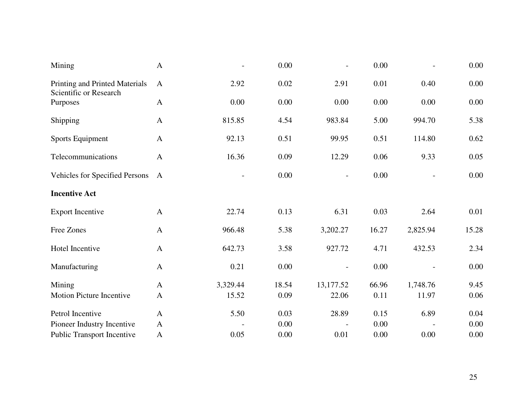| Mining                                                   | $\mathbf{A}$ |                          | 0.00  | $\overline{a}$           | 0.00  |          | 0.00  |
|----------------------------------------------------------|--------------|--------------------------|-------|--------------------------|-------|----------|-------|
| Printing and Printed Materials<br>Scientific or Research | $\mathbf{A}$ | 2.92                     | 0.02  | 2.91                     | 0.01  | 0.40     | 0.00  |
| Purposes                                                 | $\mathbf{A}$ | 0.00                     | 0.00  | 0.00                     | 0.00  | 0.00     | 0.00  |
| Shipping                                                 | $\mathbf{A}$ | 815.85                   | 4.54  | 983.84                   | 5.00  | 994.70   | 5.38  |
| Sports Equipment                                         | $\mathbf{A}$ | 92.13                    | 0.51  | 99.95                    | 0.51  | 114.80   | 0.62  |
| Telecommunications                                       | $\mathbf{A}$ | 16.36                    | 0.09  | 12.29                    | 0.06  | 9.33     | 0.05  |
| Vehicles for Specified Persons                           | $\mathbf{A}$ | $\overline{\phantom{0}}$ | 0.00  | $\overline{\phantom{a}}$ | 0.00  |          | 0.00  |
| <b>Incentive Act</b>                                     |              |                          |       |                          |       |          |       |
| <b>Export Incentive</b>                                  | $\mathbf{A}$ | 22.74                    | 0.13  | 6.31                     | 0.03  | 2.64     | 0.01  |
| Free Zones                                               | $\mathbf{A}$ | 966.48                   | 5.38  | 3,202.27                 | 16.27 | 2,825.94 | 15.28 |
| Hotel Incentive                                          | $\mathbf{A}$ | 642.73                   | 3.58  | 927.72                   | 4.71  | 432.53   | 2.34  |
| Manufacturing                                            | $\mathbf{A}$ | 0.21                     | 0.00  |                          | 0.00  |          | 0.00  |
| Mining                                                   | $\mathbf{A}$ | 3,329.44                 | 18.54 | 13,177.52                | 66.96 | 1,748.76 | 9.45  |
| <b>Motion Picture Incentive</b>                          | $\mathbf{A}$ | 15.52                    | 0.09  | 22.06                    | 0.11  | 11.97    | 0.06  |
| Petrol Incentive                                         | $\mathbf{A}$ | 5.50                     | 0.03  | 28.89                    | 0.15  | 6.89     | 0.04  |
| Pioneer Industry Incentive                               | $\mathbf{A}$ |                          | 0.00  |                          | 0.00  |          | 0.00  |
| <b>Public Transport Incentive</b>                        | $\mathbf{A}$ | 0.05                     | 0.00  | 0.01                     | 0.00  | 0.00     | 0.00  |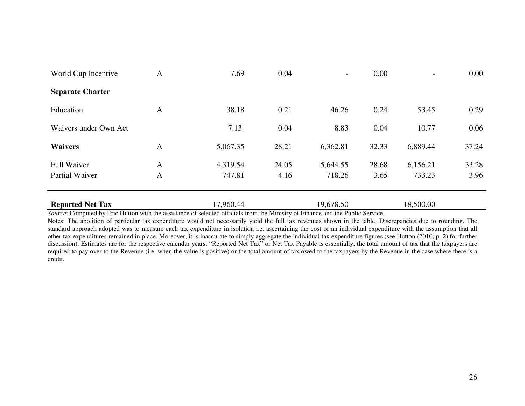| World Cup Incentive     | $\mathbf{A}$ | 7.69      | 0.04  | $\overline{\phantom{0}}$ | 0.00  |           | 0.00  |
|-------------------------|--------------|-----------|-------|--------------------------|-------|-----------|-------|
| <b>Separate Charter</b> |              |           |       |                          |       |           |       |
| Education               | $\mathbf{A}$ | 38.18     | 0.21  | 46.26                    | 0.24  | 53.45     | 0.29  |
| Waivers under Own Act   |              | 7.13      | 0.04  | 8.83                     | 0.04  | 10.77     | 0.06  |
| <b>Waivers</b>          | A            | 5,067.35  | 28.21 | 6,362.81                 | 32.33 | 6,889.44  | 37.24 |
| <b>Full Waiver</b>      | $\mathbf{A}$ | 4,319.54  | 24.05 | 5,644.55                 | 28.68 | 6,156.21  | 33.28 |
| Partial Waiver          | $\mathbf{A}$ | 747.81    | 4.16  | 718.26                   | 3.65  | 733.23    | 3.96  |
|                         |              |           |       |                          |       |           |       |
| <b>Reported Net Tax</b> |              | 17,960.44 |       | 19,678.50                |       | 18,500.00 |       |

 Notes: The abolition of particular tax expenditure would not necessarily yield the full tax revenues shown in the table. Discrepancies due to rounding. The standard approach adopted was to measure each tax expenditure in isolation i.e. ascertaining the cost of an individual expenditure with the assumption that all other tax expenditures remained in place. Moreover, it is inaccurate to simply aggregate the individual tax expenditure figures (see Hutton (2010, p. 2) for further discussion). Estimates are for the respective calendar years. "Reported Net Tax" or Net Tax Payable is essentially, the total amount of tax that the taxpayers are required to pay over to the Revenue (i.e. when the value is positive) or the total amount of tax owed to the taxpayers by the Revenue in the case where there is a credit.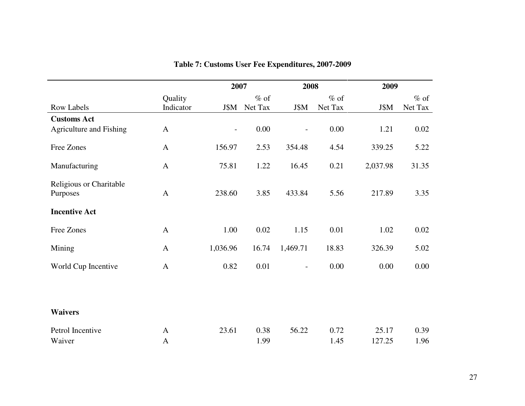|                                     |                      | 2007                     |                   | 2008                     |                   | 2009     |                   |  |
|-------------------------------------|----------------------|--------------------------|-------------------|--------------------------|-------------------|----------|-------------------|--|
| <b>Row Labels</b>                   | Quality<br>Indicator | J\$M                     | $%$ of<br>Net Tax | J\$M                     | $%$ of<br>Net Tax | J\$M     | $%$ of<br>Net Tax |  |
| <b>Customs Act</b>                  |                      |                          |                   |                          |                   |          |                   |  |
| Agriculture and Fishing             | $\mathbf{A}$         | $\overline{\phantom{a}}$ | 0.00              | $\overline{\phantom{a}}$ | 0.00              | 1.21     | 0.02              |  |
| Free Zones                          | $\mathbf{A}$         | 156.97                   | 2.53              | 354.48                   | 4.54              | 339.25   | 5.22              |  |
| Manufacturing                       | $\mathbf{A}$         | 75.81                    | 1.22              | 16.45                    | 0.21              | 2,037.98 | 31.35             |  |
| Religious or Charitable<br>Purposes | $\mathbf{A}$         | 238.60                   | 3.85              | 433.84                   | 5.56              | 217.89   | 3.35              |  |
| <b>Incentive Act</b>                |                      |                          |                   |                          |                   |          |                   |  |
| Free Zones                          | $\mathbf{A}$         | 1.00                     | 0.02              | 1.15                     | 0.01              | 1.02     | 0.02              |  |
| Mining                              | $\mathbf{A}$         | 1,036.96                 | 16.74             | 1,469.71                 | 18.83             | 326.39   | 5.02              |  |
| World Cup Incentive                 | $\mathbf{A}$         | 0.82                     | 0.01              | $\overline{\phantom{a}}$ | 0.00              | 0.00     | 0.00              |  |
|                                     |                      |                          |                   |                          |                   |          |                   |  |
| <b>Waivers</b>                      |                      |                          |                   |                          |                   |          |                   |  |
| Petrol Incentive                    | $\mathbf{A}$         | 23.61                    | 0.38              | 56.22                    | 0.72              | 25.17    | 0.39              |  |
| Waiver                              | $\mathbf{A}$         |                          | 1.99              |                          | 1.45              | 127.25   | 1.96              |  |

# **Table 7: Customs User Fee Expenditures, 2007-2009**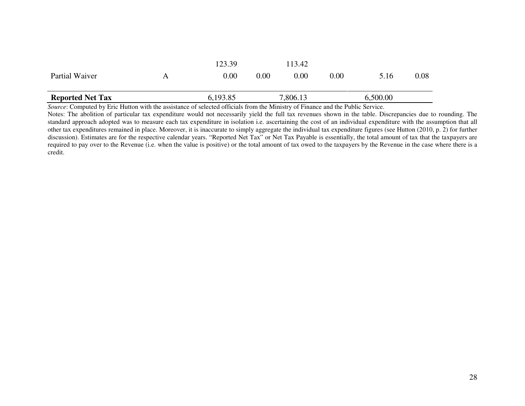|                         | . | $\sim$ $\sim$ $\sim$ $\sim$ $\sim$ $\sim$ | .    | $\sim$ $ \sim$ | .        |          |      |
|-------------------------|---|-------------------------------------------|------|----------------|----------|----------|------|
| <b>Reported Net Tax</b> |   | 6,193.85                                  |      | 7,806.13       |          | 6,500.00 |      |
| Partial Waiver          | Α | $0.00\,$                                  | 0.00 | 0.00           | $0.00\,$ | 5.16     | 0.08 |
|                         |   | 123.39                                    |      | 13.42          |          |          |      |

 Notes: The abolition of particular tax expenditure would not necessarily yield the full tax revenues shown in the table. Discrepancies due to rounding. The standard approach adopted was to measure each tax expenditure in isolation i.e. ascertaining the cost of an individual expenditure with the assumption that all other tax expenditures remained in place. Moreover, it is inaccurate to simply aggregate the individual tax expenditure figures (see Hutton (2010, p. 2) for further discussion). Estimates are for the respective calendar years. "Reported Net Tax" or Net Tax Payable is essentially, the total amount of tax that the taxpayers are required to pay over to the Revenue (i.e. when the value is positive) or the total amount of tax owed to the taxpayers by the Revenue in the case where there is a credit.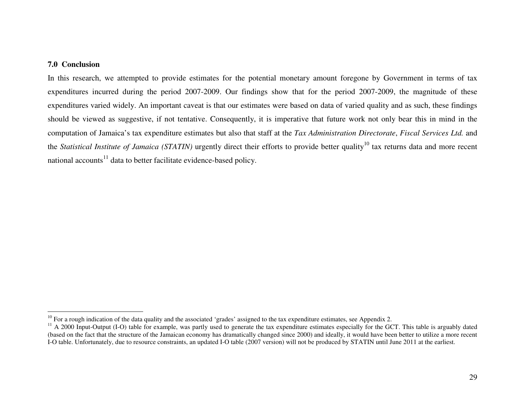# **7.0 Conclusion**

In this research, we attempted to provide estimates for the potential monetary amount foregone by Government in terms of tax expenditures incurred during the period 2007-2009. Our findings show that for the period 2007-2009, the magnitude of these expenditures varied widely. An important caveat is that our estimates were based on data of varied quality and as such, these findings should be viewed as suggestive, if not tentative. Consequently, it is imperative that future work not only bear this in mind in the computation of Jamaica's tax expenditure estimates but also that staff at the *Tax Administration Directorate*, *Fiscal Services Ltd.* and the *Statistical Institute of Jamaica (STATIN)* urgently direct their efforts to provide better quality<sup>10</sup> tax returns data and more recent national accounts<sup>11</sup> data to better facilitate evidence-based policy.

<sup>&</sup>lt;sup>10</sup> For a rough indication of the data quality and the associated 'grades' assigned to the tax expenditure estimates, see Appendix 2.

 $11$  A 2000 Input-Output (I-O) table for example, was partly used to generate the tax expenditure estimates especially for the GCT. This table is arguably dated (based on the fact that the structure of the Jamaican economy has dramatically changed since 2000) and ideally, it would have been better to utilize a more recent I-O table. Unfortunately, due to resource constraints, an updated I-O table (2007 version) will not be produced by STATIN until June 2011 at the earliest.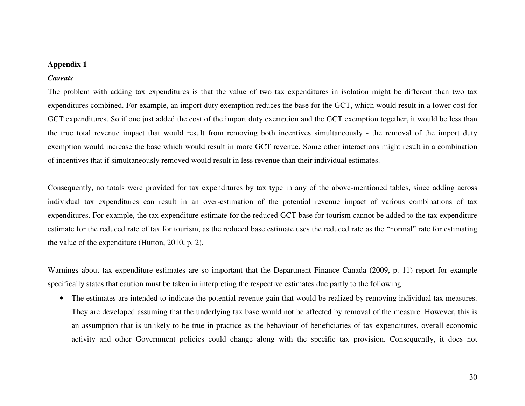# **Appendix 1**

### *Caveats*

The problem with adding tax expenditures is that the value of two tax expenditures in isolation might be different than two tax expenditures combined. For example, an import duty exemption reduces the base for the GCT, which would result in a lower cost for GCT expenditures. So if one just added the cost of the import duty exemption and the GCT exemption together, it would be less than the true total revenue impact that would result from removing both incentives simultaneously - the removal of the import duty exemption would increase the base which would result in more GCT revenue. Some other interactions might result in a combination of incentives that if simultaneously removed would result in less revenue than their individual estimates.

Consequently, no totals were provided for tax expenditures by tax type in any of the above-mentioned tables, since adding across individual tax expenditures can result in an over-estimation of the potential revenue impact of various combinations of tax expenditures. For example, the tax expenditure estimate for the reduced GCT base for tourism cannot be added to the tax expenditure estimate for the reduced rate of tax for tourism, as the reduced base estimate uses the reduced rate as the "normal" rate for estimating the value of the expenditure (Hutton, 2010, p. 2).

Warnings about tax expenditure estimates are so important that the Department Finance Canada (2009, p. 11) report for example specifically states that caution must be taken in interpreting the respective estimates due partly to the following:

• The estimates are intended to indicate the potential revenue gain that would be realized by removing individual tax measures. They are developed assuming that the underlying tax base would not be affected by removal of the measure. However, this is an assumption that is unlikely to be true in practice as the behaviour of beneficiaries of tax expenditures, overall economic activity and other Government policies could change along with the specific tax provision. Consequently, it does not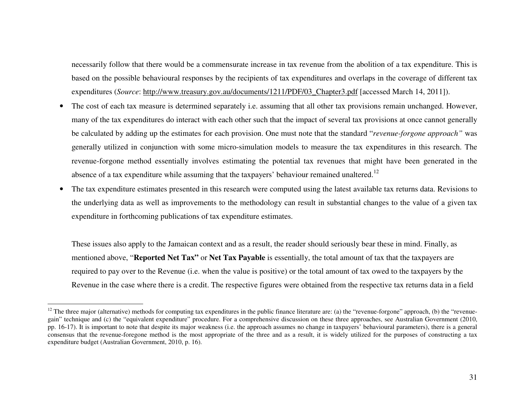necessarily follow that there would be a commensurate increase in tax revenue from the abolition of a tax expenditure. This is based on the possible behavioural responses by the recipients of tax expenditures and overlaps in the coverage of different tax expenditures (*Source*: http://www.treasury.gov.au/documents/1211/PDF/03\_Chapter3.pdf [accessed March 14, 2011]).

- $\bullet$  The cost of each tax measure is determined separately i.e. assuming that all other tax provisions remain unchanged. However, many of the tax expenditures do interact with each other such that the impact of several tax provisions at once cannot generally be calculated by adding up the estimates for each provision. One must note that the standard "*revenue-forgone approach"* was generally utilized in conjunction with some micro-simulation models to measure the tax expenditures in this research. The revenue-forgone method essentially involves estimating the potential tax revenues that might have been generated in the absence of a tax expenditure while assuming that the taxpayers' behaviour remained unaltered.<sup>12</sup>
- • The tax expenditure estimates presented in this research were computed using the latest available tax returns data. Revisions to the underlying data as well as improvements to the methodology can result in substantial changes to the value of a given tax expenditure in forthcoming publications of tax expenditure estimates.

These issues also apply to the Jamaican context and as a result, the reader should seriously bear these in mind. Finally, as mentioned above, "**Reported Net Tax"** or **Net Tax Payable** is essentially, the total amount of tax that the taxpayers are required to pay over to the Revenue (i.e. when the value is positive) or the total amount of tax owed to the taxpayers by the Revenue in the case where there is a credit. The respective figures were obtained from the respective tax returns data in a field

<sup>&</sup>lt;sup>12</sup> The three major (alternative) methods for computing tax expenditures in the public finance literature are: (a) the "revenue-forgone" approach, (b) the "revenuegain" technique and (c) the "equivalent expenditure" procedure. For a comprehensive discussion on these three approaches, see Australian Government (2010, pp. 16-17). It is important to note that despite its major weakness (i.e. the approach assumes no change in taxpayers' behavioural parameters), there is a general consensus that the revenue-foregone method is the most appropriate of the three and as a result, it is widely utilized for the purposes of constructing a tax expenditure budget (Australian Government, 2010, p. 16).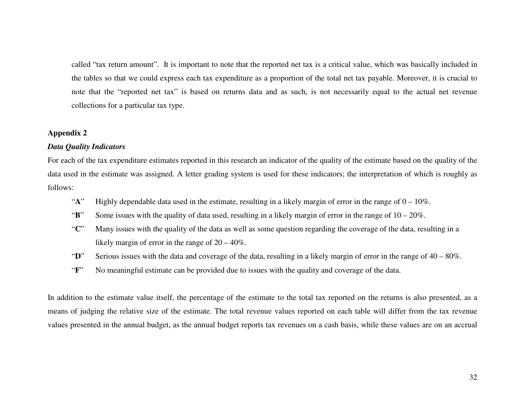called "tax return amount". It is important to note that the reported net tax is a critical value, which was basically included in the tables so that we could express each tax expenditure as a proportion of the total net tax payable. Moreover, it is crucial to note that the "reported net tax" is based on returns data and as such, is not necessarily equal to the actual net revenue collections for a particular tax type.

### **Appendix 2**

### *Data Quality Indicators*

For each of the tax expenditure estimates reported in this research an indicator of the quality of the estimate based on the quality of the data used in the estimate was assigned. A letter grading system is used for these indicators; the interpretation of which is roughly as follows:

- "**A**" Highly dependable data used in the estimate, resulting in a likely margin of error in the range of 0 10%.
- "**B**" Some issues with the quality of data used, resulting in a likely margin of error in the range of 10 20%.
- "**C**" Many issues with the quality of the data as well as some question regarding the coverage of the data, resulting in a likely margin of error in the range of 20 – 40%.
- "**D**" Serious issues with the data and coverage of the data, resulting in a likely margin of error in the range of 40 80%.
- "**F**" No meaningful estimate can be provided due to issues with the quality and coverage of the data.

In addition to the estimate value itself, the percentage of the estimate to the total tax reported on the returns is also presented, as a means of judging the relative size of the estimate. The total revenue values reported on each table will differ from the tax revenue values presented in the annual budget, as the annual budget reports tax revenues on a cash basis, while these values are on an accrual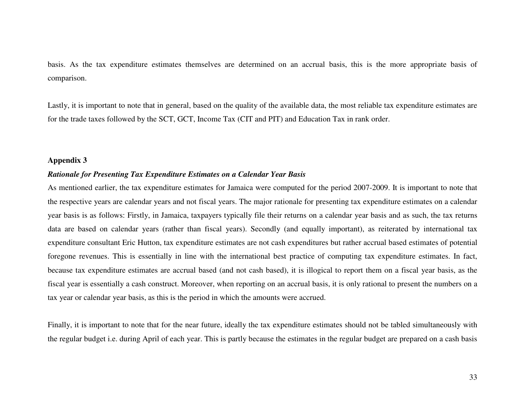basis. As the tax expenditure estimates themselves are determined on an accrual basis, this is the more appropriate basis of comparison.

Lastly, it is important to note that in general, based on the quality of the available data, the most reliable tax expenditure estimates are for the trade taxes followed by the SCT, GCT, Income Tax (CIT and PIT) and Education Tax in rank order.

### **Appendix 3**

# *Rationale for Presenting Tax Expenditure Estimates on a Calendar Year Basis*

As mentioned earlier, the tax expenditure estimates for Jamaica were computed for the period 2007-2009. It is important to note that the respective years are calendar years and not fiscal years. The major rationale for presenting tax expenditure estimates on a calendar year basis is as follows: Firstly, in Jamaica, taxpayers typically file their returns on a calendar year basis and as such, the tax returns data are based on calendar years (rather than fiscal years). Secondly (and equally important), as reiterated by international tax expenditure consultant Eric Hutton, tax expenditure estimates are not cash expenditures but rather accrual based estimates of potential foregone revenues. This is essentially in line with the international best practice of computing tax expenditure estimates. In fact, because tax expenditure estimates are accrual based (and not cash based), it is illogical to report them on a fiscal year basis, as the fiscal year is essentially a cash construct. Moreover, when reporting on an accrual basis, it is only rational to present the numbers on a tax year or calendar year basis, as this is the period in which the amounts were accrued.

Finally, it is important to note that for the near future, ideally the tax expenditure estimates should not be tabled simultaneously with the regular budget i.e. during April of each year. This is partly because the estimates in the regular budget are prepared on a cash basis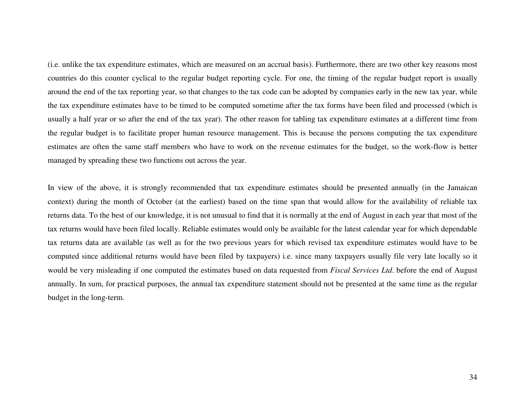(i.e. unlike the tax expenditure estimates, which are measured on an accrual basis). Furthermore, there are two other key reasons most countries do this counter cyclical to the regular budget reporting cycle. For one, the timing of the regular budget report is usually around the end of the tax reporting year, so that changes to the tax code can be adopted by companies early in the new tax year, while the tax expenditure estimates have to be timed to be computed sometime after the tax forms have been filed and processed (which is usually a half year or so after the end of the tax year). The other reason for tabling tax expenditure estimates at a different time from the regular budget is to facilitate proper human resource management. This is because the persons computing the tax expenditure estimates are often the same staff members who have to work on the revenue estimates for the budget, so the work-flow is better managed by spreading these two functions out across the year.

In view of the above, it is strongly recommended that tax expenditure estimates should be presented annually (in the Jamaican context) during the month of October (at the earliest) based on the time span that would allow for the availability of reliable tax returns data. To the best of our knowledge, it is not unusual to find that it is normally at the end of August in each year that most of the tax returns would have been filed locally. Reliable estimates would only be available for the latest calendar year for which dependable tax returns data are available (as well as for the two previous years for which revised tax expenditure estimates would have to be computed since additional returns would have been filed by taxpayers) i.e. since many taxpayers usually file very late locally so it would be very misleading if one computed the estimates based on data requested from *Fiscal Services Ltd*. before the end of August annually. In sum, for practical purposes, the annual tax expenditure statement should not be presented at the same time as the regular budget in the long-term.